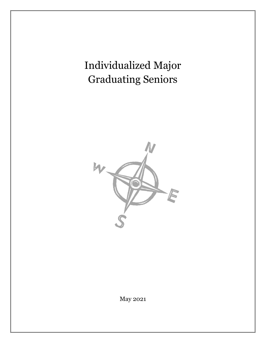Individualized Major Graduating Seniors



May 2021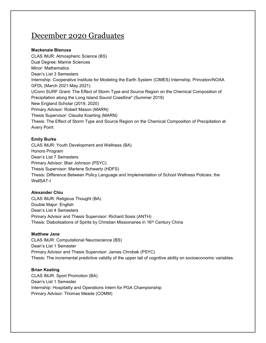# December 2020 Graduates

# **Mackenzie Blanusa**

CLAS IMJR: Atmospheric Science (BS) Dual Degree: Marine Sciences Minor: Mathematics Dean's List 3 Semesters Internship: Cooperative Institute for Modeling the Earth System (CIMES) Internship, Princeton/NOAA GFDL (March 2021-May 2021) UConn SURF Grant: The Effect of Storm Type and Source Region on the Chemical Composition of Precipitation along the Long Island Sound Coastline" (Summer 2019) New England Scholar (2019, 2020) Primary Advisor: Robert Mason (MARN) Thesis Supervisor: Claudia Koerting (MARN) Thesis: The Effect of Storm Type and Source Region on the Chemical Composition of Precipitation at Avery Point

# **Emily Burke**

CLAS IMJR: Youth Development and Wellness (BA) Honors Program Dean's List 7 Semesters Primary Advisor: Blair Johnson (PSYC) Thesis Supervisor: Marlene Schwartz (HDFS) Thesis: Difference Between Policy Language and Implementation of School Wellness Policies: the WellSAT-I

# **Alexander Chiu**

CLAS IMJR: Religious Thought (BA) Double Major: English Dean's List 4 Semesters Primary Advisor and Thesis Supervisor: Richard Sosis (ANTH) Thesis: Diabolisations of Spirits by Christian Missionaries in 16<sup>th</sup> Century China

## **Matthew Jane**

CLAS IMJR: Computational Neuroscience (BS) Dean's List 1 Semester Primary Advisor and Thesis Supervisor: James Chrobak (PSYC) Thesis: The incremental predictive validity of the upper tail of cognitive ability on socioeconomic variables

## **Brian Keating**

CLAS IMJR: Sport Promotion (BA) Dean's List 1 Semester Internship: Hospitality and Operations Intern for PGA Championship Primary Advisor: Thomas Meade (COMM)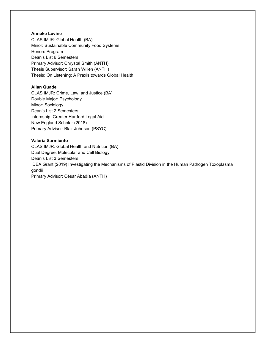## **Anneke Levine**

CLAS IMJR: Global Health (BA) Minor: Sustainable Community Food Systems Honors Program Dean's List 6 Semesters Primary Advisor: Chrystal Smith (ANTH) Thesis Supervisor: Sarah Willen (ANTH) Thesis: On Listening: A Praxis towards Global Health

## **Allan Quade**

CLAS IMJR: Crime, Law, and Justice (BA) Double Major: Psychology Minor: Sociology Dean's List 2 Semesters Internship: Greater Hartford Legal Aid New England Scholar (2018) Primary Advisor: Blair Johnson (PSYC)

#### **Valeria Sarmiento**

CLAS IMJR: Global Health and Nutrition (BA) Dual Degree: Molecular and Cell Biology Dean's List 3 Semesters IDEA Grant (2019) Investigating the Mechanisms of Plastid Division in the Human Pathogen Toxoplasma gondii Primary Advisor: César Abadía (ANTH)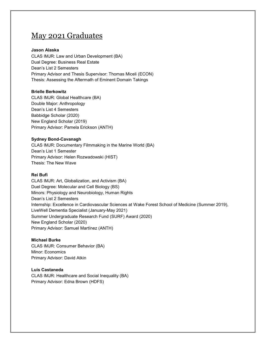# May 2021 Graduates

## **Jason Alaska**

CLAS IMJR: Law and Urban Development (BA) Dual Degree: Business Real Estate Dean's List 2 Semesters Primary Advisor and Thesis Supervisor: Thomas Miceli (ECON) Thesis: Assessing the Aftermath of Eminent Domain Takings

#### **Brielle Berkowitz**

CLAS IMJR: Global Healthcare (BA) Double Major: Anthropology Dean's List 4 Semesters Babbidge Scholar (2020) New England Scholar (2019) Primary Advisor: Pamela Erickson (ANTH)

#### **Sydney Bond-Cavanagh**

CLAS IMJR: Documentary Filmmaking in the Marine World (BA) Dean's List 1 Semester Primary Advisor: Helen Rozwadowski (HIST) Thesis: The New Wave

## **Rei Bufi**

CLAS IMJR: Art, Globalization, and Activism (BA) Duel Degree: Molecular and Cell Biology (BS) Minors: Physiology and Neurobiology, Human Rights Dean's List 2 Semesters Internship: Excellence in Cardiovascular Sciences at Wake Forest School of Medicine (Summer 2019), LiveWell Dementia Specialist (January-May 2021) Summer Undergraduate Research Fund (SURF) Award (2020) New England Scholar (2020) Primary Advisor: Samuel Martínez (ANTH)

#### **Michael Burke**

CLAS IMJR: Consumer Behavior (BA) Minor: Economics Primary Advisor: David Atkin

#### **Luis Castaneda**

CLAS IMJR: Healthcare and Social Inequality (BA) Primary Advisor: Edna Brown (HDFS)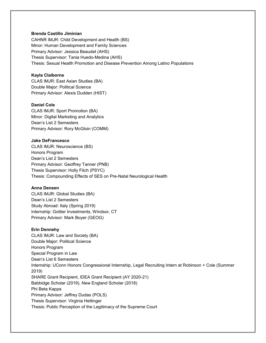#### **Brenda Castillo Jiminian**

CAHNR IMJR: Child Development and Health (BS) Minor: Human Development and Family Sciences Primary Advisor: Jessica Beaudet (AHS) Thesis Supervisor: Tania Huedo-Medina (AHS) Thesis: Sexual Health Promotion and Disease Prevention Among Latino Populations

#### **Kayla Claiborne**

CLAS IMJR: East Asian Studies (BA) Double Major: Political Science Primary Advisor: Alexis Dudden (HIST)

## **Daniel Cole**

CLAS IMJR: Sport Promotion (BA) Minor: Digital Marketing and Analytics Dean's List 2 Semesters Primary Advisor: Rory McGloin (COMM)

#### **Jake DeFrancesco**

CLAS IMJR: Neuroscience (BS) Honors Program Dean's List 2 Semesters Primary Advisor: Geoffrey Tanner (PNB) Thesis Supervisor: Holly Fitch (PSYC) Thesis: Compounding Effects of SES on Pre-Natal Neurological Health

#### **Anna Deneen**

CLAS IMJR: Global Studies (BA) Dean's List 2 Semesters Study Abroad: Italy (Spring 2019) Internship: Gottier Investments, Windsor, CT Primary Advisor: Mark Boyer (GEOG)

#### **Erin Dennehy**

CLAS IMJR: Law and Society (BA) Double Major: Political Science Honors Program Special Program in Law Dean's List 6 Semesters Internship: UConn Honors Congressional Internship, Legal Recruiting Intern at Robinson + Cole (Summer 2019) SHARE Grant Recipient, IDEA Grant Recipient (AY 2020-21) Babbidge Scholar (2019), New England Scholar (2018) Phi Beta Kappa Primary Advisor: Jeffrey Dudas (POLS) Thesis Supervisor: Virginia Hettinger Thesis: Public Perception of the Legitimacy of the Supreme Court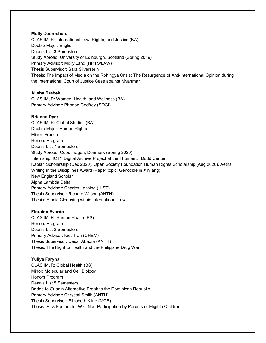#### **Molly Desrochers**

CLAS IMJR: International Law, Rights, and Justice (BA) Double Major: English Dean's List 3 Semesters Study Abroad: University of Edinburgh, Scotland (Spring 2019) Primary Advisor: Molly Land (HRTS/LAW) Thesis Supervisor: Sara Silverstein Thesis: The Impact of Media on the Rohingya Crisis: The Resurgence of Anti-International Opinion during the International Court of Justice Case against Myanmar

## **Alisha Drabek**

CLAS IMJR: Women, Health, and Wellness (BA) Primary Advisor: Phoebe Godfrey (SOCI)

## **Brianna Dyer**

CLAS IMJR: Global Studies (BA) Double Major: Human Rights Minor: French Honors Program Dean's List 7 Semesters Study Abroad: Copenhagen, Denmark (Spring 2020) Internship: ICTY Digital Archive Project at the Thomas J. Dodd Center Kaplan Scholarship (Dec 2020), Open Society Foundation Human Rights Scholarship (Aug 2020), Aetna Writing in the Disciplines Award (Paper topic: Genocide in Xinjiang) New England Scholar Alpha Lambda Delta Primary Advisor: Charles Lansing (HIST) Thesis Supervisor: Richard Wilson (ANTH) Thesis: Ethnic Cleansing within International Law

## **Floraine Evardo**

CLAS IMJR: Human Health (BS) Honors Program Dean's List 2 Semesters Primary Advisor: Kiet Tran (CHEM) Thesis Supervisor: César Abadía (ANTH) Thesis: The Right to Health and the Philippine Drug War

## **Yuliya Faryna**

CLAS IMJR: Global Health (BS) Minor: Molecular and Cell Biology Honors Program Dean's List 5 Semesters Bridge to Guanin Alternative Break to the Dominican Republic Primary Advisor: Chrystal Smith (ANTH) Thesis Supervisor: Elizabeth Kline (MCB) Thesis: Risk Factors for WIC Non-Participation by Parents of Eligible Children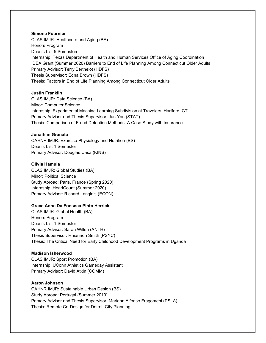#### **Simone Fournier**

CLAS IMJR: Healthcare and Aging (BA) Honors Program Dean's List 5 Semesters Internship: Texas Department of Health and Human Services Office of Aging Coordination IDEA Grant (Summer 2020) Barriers to End of Life Planning Among Connecticut Older Adults Primary Advisor: Terry Berthelot (HDFS) Thesis Supervisor: Edna Brown (HDFS) Thesis: Factors in End of Life Planning Among Connecticut Older Adults

#### **Justin Franklin**

CLAS IMJR: Data Science (BA) Minor: Computer Science Internship: Experimental Machine Learning Subdivision at Travelers, Hartford, CT Primary Advisor and Thesis Supervisor: Jun Yan (STAT) Thesis: Comparison of Fraud Detection Methods: A Case Study with Insurance

#### **Jonathan Granata**

CAHNR IMJR: Exercise Physiology and Nutrition (BS) Dean's List 1 Semester Primary Advisor: Douglas Casa (KINS)

#### **Olivia Hamula**

CLAS IMJR: Global Studies (BA) Minor: Political Science Study Abroad: Paris, France (Spring 2020) Internship: HeadCount (Summer 2020) Primary Advisor: Richard Langlois (ECON)

## **Grace Anne Da Fonseca Pinto Herrick**

CLAS IMJR: Global Health (BA) Honors Program Dean's List 1 Semester Primary Advisor: Sarah Willen (ANTH) Thesis Supervisor: Rhiannon Smith (PSYC) Thesis: The Critical Need for Early Childhood Development Programs in Uganda

#### **Madison Isherwood**

CLAS IMJR: Sport Promotion (BA) Internship: UConn Athletics Gameday Assistant Primary Advisor: David Atkin (COMM)

#### **Aaron Johnson**

CAHNR IMJR: Sustainable Urban Design (BS) Study Abroad: Portugal (Summer 2019) Primary Advisor and Thesis Supervisor: Mariana Alfonso Fragomeni (PSLA) Thesis: Remote Co-Design for Detroit City Planning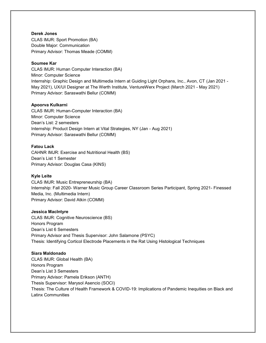## **Derek Jones**

CLAS IMJR: Sport Promotion (BA) Double Major: Communication Primary Advisor: Thomas Meade (COMM)

# **Soumee Kar**

CLAS IMJR: Human Computer Interaction (BA) Minor: Computer Science Internship: Graphic Design and Multimedia Intern at Guiding Light Orphans, Inc., Avon, CT (Jan 2021 - May 2021), UX/UI Designer at The Werth Institute, VentureWerx Project (March 2021 - May 2021) Primary Advisor: Saraswathi Bellur (COMM)

# **Apoorva Kulkarni**

CLAS IMJR: Human-Computer Interaction (BA) Minor: Computer Science Dean's List: 2 semesters Internship: Product Design Intern at Vital Strategies, NY (Jan - Aug 2021) Primary Advisor: Saraswathi Bellur (COMM)

# **Fatou Lack**

CAHNR IMJR: Exercise and Nutritional Health (BS) Dean's List 1 Semester Primary Advisor: Douglas Casa (KINS)

# **Kyle Leite**

CLAS IMJR: Music Entrepreneurship (BA) Internship: Fall 2020- Warner Music Group Career Classroom Series Participant, Spring 2021- Finessed Media, Inc. (Multimedia Intern) Primary Advisor: David Atkin (COMM)

## **Jessica MacIntyre**

CLAS IMJR: Cognitive Neuroscience (BS) Honors Program Dean's List 6 Semesters Primary Advisor and Thesis Supervisor: John Salamone (PSYC) Thesis: Identifying Corticol Electrode Placements in the Rat Using Histological Techniques

## **Siara Maldonado**

CLAS IMJR: Global Health (BA) Honors Program Dean's List 3 Semesters Primary Advisor: Pamela Erikson (ANTH) Thesis Supervisor: Marysol Asencio (SOCI) Thesis: The Culture of Health Framework & COVID-19: Implications of Pandemic Inequities on Black and Latinx Communities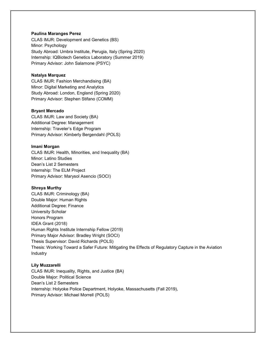#### **Paulina Maranges Perez**

CLAS IMJR: Development and Genetics (BS) Minor: Psychology Study Abroad: Umbra Institute, Perugia, Italy (Spring 2020) Internship: IQBiotech Genetics Laboratory (Summer 2019) Primary Advisor: John Salamone (PSYC)

#### **Natalya Marquez**

CLAS IMJR: Fashion Merchandising (BA) Minor: Digital Marketing and Analytics Study Abroad: London, England (Spring 2020) Primary Advisor: Stephen Stifano (COMM)

#### **Bryant Mercado**

CLAS IMJR: Law and Society (BA) Additional Degree: Management Internship: Traveler's Edge Program Primary Advisor: Kimberly Bergendahl (POLS)

#### **Imani Morgan**

CLAS IMJR: Health, Minorities, and Inequality (BA) Minor: Latino Studies Dean's List 2 Semesters Internship: The ELM Project Primary Advisor: Marysol Asencio (SOCI)

## **Shreya Murthy**

CLAS IMJR: Criminology (BA) Double Major: Human Rights Additional Degree: Finance University Scholar Honors Program IDEA Grant (2018) Human Rights Institute Internship Fellow (2019) Primary Major Advisor: Bradley Wright (SOCI) Thesis Supervisor: David Richards (POLS) Thesis: Working Toward a Safer Future: Mitigating the Effects of Regulatory Capture in the Aviation **Industry** 

#### **Lily Muzzarelli**

CLAS IMJR: Inequality, Rights, and Justice (BA) Double Major: Political Science Dean's List 2 Semesters Internship: Holyoke Police Department, Holyoke, Massachusetts (Fall 2019), Primary Advisor: Michael Morrell (POLS)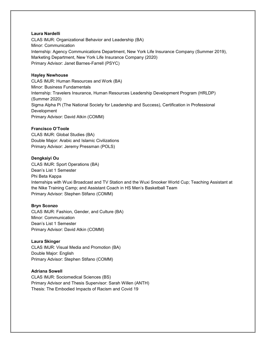## **Laura Nardelli**

CLAS IMJR: Organizational Behavior and Leadership (BA) Minor: Communication Internship: Agency Communications Department, New York Life Insurance Company (Summer 2019), Marketing Department, New York Life Insurance Company (2020) Primary Advisor: Janet Barnes-Farrell (PSYC)

#### **Hayley Newhouse**

CLAS IMJR: Human Resources and Work (BA) Minor: Business Fundamentals Internship: Travelers Insurance, Human Resources Leadership Development Program (HRLDP) (Summer 2020) Sigma Alpha Pi (The National Society for Leadership and Success), Certification in Professional Development Primary Advisor: David Atkin (COMM)

## **Francisco O'Toole**

CLAS IMJR: Global Studies (BA) Double Major: Arabic and Islamic Civilizations Primary Advisor: Jeremy Pressman (POLS)

#### **Dengkaiyi Ou**

CLAS IMJR: Sport Operations (BA) Dean's List 1 Semester Phi Beta Kappa Internships with Wuxi Broadcast and TV Station and the Wuxi Snooker World Cup; Teaching Assistant at the Nike Training Camp; and Assistant Coach in HS Men's Basketball Team Primary Advisor: Stephen Stifano (COMM)

## **Bryn Sconzo**

CLAS IMJR: Fashion, Gender, and Culture (BA) Minor: Communication Dean's List 1 Semester Primary Advisor: David Atkin (COMM)

#### **Laura Skinger**

CLAS IMJR: Visual Media and Promotion (BA) Double Major: English Primary Advisor: Stephen Stifano (COMM)

## **Adriana Sowell**

CLAS IMJR: Sociomedical Sciences (BS) Primary Advisor and Thesis Supervisor: Sarah Willen (ANTH) Thesis: The Embodied Impacts of Racism and Covid 19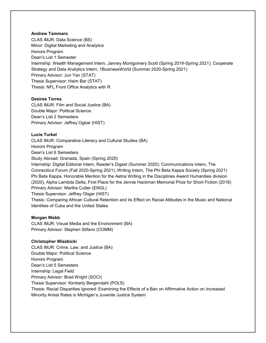## **Andrew Tammaro**

CLAS IMJR: Data Science (BS) Minor: Digital Marketing and Analytics Honors Program Dean's List 1 Semester Internship: Wealth Management Intern, Janney Montgomery Scott (Spring 2019-Spring 2021); Cooperate Strategy and Data Analytics Intern, 1BusinessWorld (Summer 2020-Spring 2021) Primary Advisor: Jun Yan (STAT) Thesis Supervisor: Haim Bar (STAT) Thesis: NFL Front Office Analytics with R

## **Desiree Torres**

CLAS IMJR: Film and Social Justice (BA) Double Major: Political Science Dean's List 2 Semesters Primary Advisor: Jeffrey Ogbar (HIST)

## **Lucie Turkel**

CLAS IMJR: Comparative Literacy and Cultural Studies (BA) Honors Program Dean's List 6 Semesters Study Abroad: Granada, Spain (Spring 2020) Internship: Digital Editorial Intern, Reader's Digest (Summer 2020); Communications Intern, The Connecticut Forum (Fall 2020-Spring 2021); Writing Intern, The Phi Beta Kappa Society (Spring 2021) Phi Beta Kappa, Honorable Mention for the Aetna Writing in the Disciplines Award Humanities division (2020), Alpha Lambda Delta, First Place for the Jennie Hackman Memorial Prize for Short Fiction (2018) Primary Advisor: Martha Cutter (ENGL)

Thesis Supervisor: Jeffrey Obgar (HIST)

Thesis: Comparing African Cultural Retention and its Effect on Racial Attitudes in the Music and National Identities of Cuba and the United States

## **Morgan Webb**

CLAS IMJR: Visual Media and the Environment (BA) Primary Advisor: Stephen Stifano (COMM)

## **Christopher Wiezbicki**

CLAS IMJR: Crime, Law, and Justice (BA) Double Major: Political Science Honors Program Dean's List 5 Semesters Internship: Legal Field Primary Advisor: Brad Wright (SOCI) Thesis Supervisor: Kimberly Bergendahl (POLS) Thesis: Racial Disparities Ignored: Examining the Effects of a Ban on Affirmative Action on Increased Minority Arrest Rates in Michigan's Juvenile Justice System